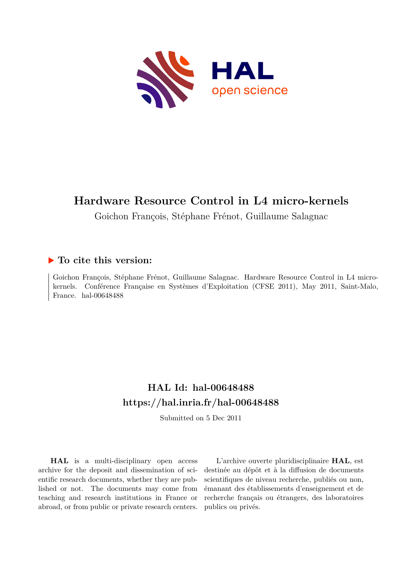

## **Hardware Resource Control in L4 micro-kernels**

Goichon François, Stéphane Frénot, Guillaume Salagnac

#### **To cite this version:**

Goichon François, Stéphane Frénot, Guillaume Salagnac. Hardware Resource Control in L4 microkernels. Conférence Française en Systèmes d'Exploitation (CFSE 2011), May 2011, Saint-Malo, France. hal- $00648488$ 

### **HAL Id: hal-00648488 <https://hal.inria.fr/hal-00648488>**

Submitted on 5 Dec 2011

**HAL** is a multi-disciplinary open access archive for the deposit and dissemination of scientific research documents, whether they are published or not. The documents may come from teaching and research institutions in France or abroad, or from public or private research centers.

L'archive ouverte pluridisciplinaire **HAL**, est destinée au dépôt et à la diffusion de documents scientifiques de niveau recherche, publiés ou non, émanant des établissements d'enseignement et de recherche français ou étrangers, des laboratoires publics ou privés.